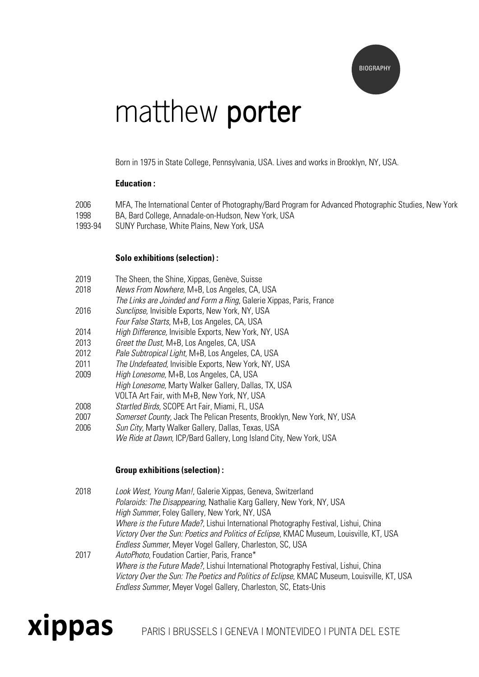

# matthew **porter**

Born in 1975 in State College, Pennsylvania, USA. Lives and works in Brooklyn, NY, USA.

## **Education :**

- 2006 MFA, The International Center of Photography/Bard Program for Advanced Photographic Studies, New York 1998 BA, Bard College, Annadale-on-Hudson, New York, USA
- 1993-94 SUNY Purchase, White Plains, New York, USA

#### **Solo exhibitions (selection) :**

- 2019 The Sheen, the Shine, Xippas, Genève, Suisse
- 2018 News From Nowhere, M+B, Los Angeles, CA, USA
- The Links are Joinded and Form a Ring, Galerie Xippas, Paris, France 2016 Sunclipse, Invisible Exports, New York, NY, USA
- Four False Starts, M+B, Los Angeles, CA, USA
- 2014 High Difference, Invisible Exports, New York, NY, USA
- 2013 Greet the Dust, M+B, Los Angeles, CA, USA
- 2012 Pale Subtropical Light, M+B, Los Angeles, CA, USA
- 2011 The Undefeated, Invisible Exports, New York, NY, USA
- 2009 High Lonesome, M+B, Los Angeles, CA, USA
- High Lonesome, Marty Walker Gallery, Dallas, TX, USA
- VOLTA Art Fair, with M+B, New York, NY, USA
- 2008 Startled Birds, SCOPE Art Fair, Miami, FL, USA
- 2007 Somerset County, Jack The Pelican Presents, Brooklyn, New York, NY, USA
- 2006 Sun City, Marty Walker Gallery, Dallas, Texas, USA We Ride at Dawn, ICP/Bard Gallery, Long Island City, New York, USA

## **Group exhibitions (selection) :**

2018 Look West, Young Man!, Galerie Xippas, Geneva, Switzerland Polaroids: The Disappearing, Nathalie Karg Gallery, New York, NY, USA High Summer, Foley Gallery, New York, NY, USA Where is the Future Made?, Lishui International Photography Festival, Lishui, China Victory Over the Sun: Poetics and Politics of Eclipse, KMAC Museum, Louisville, KT, USA Endless Summer, Meyer Vogel Gallery, Charleston, SC, USA 2017 AutoPhoto, Foudation Cartier, Paris, France\* Where is the Future Made?, Lishui International Photography Festival, Lishui, China Victory Over the Sun: The Poetics and Politics of Eclipse, KMAC Museum, Louisville, KT, USA

Endless Summer, Meyer Vogel Gallery, Charleston, SC, Etats-Unis



**xippas** PARIS | BRUSSELS I GENEVA | MONTEVIDEO | PUNTA DEL ESTE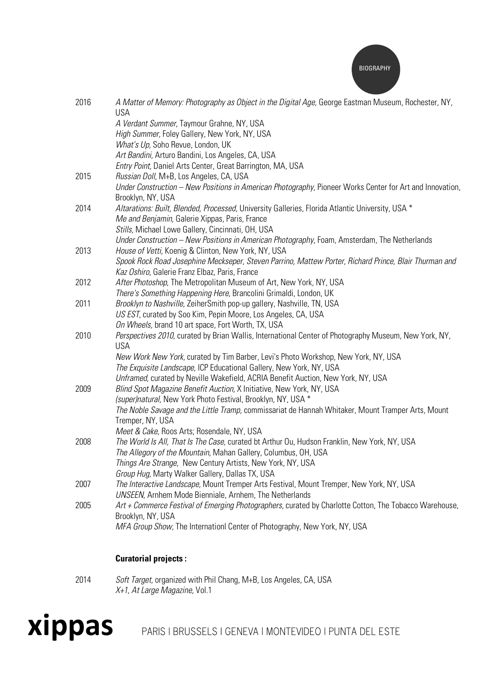

| 2016 | A Matter of Memory: Photography as Object in the Digital Age, George Eastman Museum, Rochester, NY,<br><b>USA</b>   |
|------|---------------------------------------------------------------------------------------------------------------------|
|      | A Verdant Summer, Taymour Grahne, NY, USA                                                                           |
|      | High Summer, Foley Gallery, New York, NY, USA                                                                       |
|      | What's Up, Soho Revue, London, UK                                                                                   |
|      | Art Bandini, Arturo Bandini, Los Angeles, CA, USA                                                                   |
|      | Entry Point, Daniel Arts Center, Great Barrington, MA, USA                                                          |
| 2015 | Russian Doll, M+B, Los Angeles, CA, USA                                                                             |
|      | Under Construction – New Positions in American Photography, Pioneer Works Center for Art and Innovation,            |
|      | Brooklyn, NY, USA                                                                                                   |
| 2014 | Altarations: Built, Blended, Processed, University Galleries, Florida Atlantic University, USA *                    |
|      | Me and Benjamin, Galerie Xippas, Paris, France                                                                      |
|      | Stills, Michael Lowe Gallery, Cincinnati, OH, USA                                                                   |
|      | Under Construction – New Positions in American Photography, Foam, Amsterdam, The Netherlands                        |
| 2013 | House of Vetti, Koenig & Clinton, New York, NY, USA                                                                 |
|      | Spook Rock Road Josephine Meckseper, Steven Parrino, Mattew Porter, Richard Prince, Blair Thurman and               |
|      | Kaz Oshiro, Galerie Franz Elbaz, Paris, France                                                                      |
| 2012 | After Photoshop, The Metropolitan Museum of Art, New York, NY, USA                                                  |
|      | There's Something Happening Here, Brancolini Grimaldi, London, UK                                                   |
| 2011 | Brooklyn to Nashville, ZeiherSmith pop-up gallery, Nashville, TN, USA                                               |
|      | US EST, curated by Soo Kim, Pepin Moore, Los Angeles, CA, USA<br>On Wheels, brand 10 art space, Fort Worth, TX, USA |
| 2010 |                                                                                                                     |
|      | Perspectives 2010, curated by Brian Wallis, International Center of Photography Museum, New York, NY,<br><b>USA</b> |
|      | New Work New York, curated by Tim Barber, Levi's Photo Workshop, New York, NY, USA                                  |
|      | The Exquisite Landscape, ICP Educational Gallery, New York, NY, USA                                                 |
|      | Unframed, curated by Neville Wakefield, ACRIA Benefit Auction, New York, NY, USA                                    |
| 2009 | Blind Spot Magazine Benefit Auction, X Initiative, New York, NY, USA                                                |
|      | (super)natural, New York Photo Festival, Brooklyn, NY, USA *                                                        |
|      | The Noble Savage and the Little Tramp, commissariat de Hannah Whitaker, Mount Tramper Arts, Mount                   |
|      | Tremper, NY, USA                                                                                                    |
|      | Meet & Cake, Roos Arts; Rosendale, NY, USA                                                                          |
| 2008 | The World Is All, That Is The Case, curated bt Arthur Ou, Hudson Franklin, New York, NY, USA                        |
|      | The Allegory of the Mountain, Mahan Gallery, Columbus, OH, USA                                                      |
|      | Things Are Strange, New Century Artists, New York, NY, USA                                                          |
|      | Group Hug, Marty Walker Gallery, Dallas TX, USA                                                                     |
| 2007 | The Interactive Landscape, Mount Tremper Arts Festival, Mount Tremper, New York, NY, USA                            |
|      | <b>UNSEEN, Arnhem Mode Bienniale, Arnhem, The Netherlands</b>                                                       |
| 2005 | Art + Commerce Festival of Emerging Photographers, curated by Charlotte Cotton, The Tobacco Warehouse,              |
|      | Brooklyn, NY, USA                                                                                                   |
|      | MFA Group Show, The Internationl Center of Photography, New York, NY, USA                                           |

# **Curatorial projects :**

2014 Soft Target, organized with Phil Chang, M+B, Los Angeles, CA, USA X+1, At Large Magazine, Vol.1

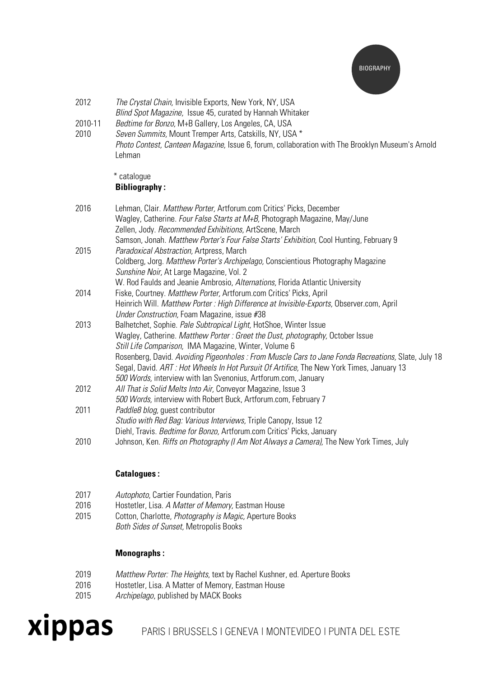

- 2012 The Crystal Chain, Invisible Exports, New York, NY, USA Blind Spot Magazine, Issue 45, curated by Hannah Whitaker
- 2010-11 Bedtime for Bonzo, M+B Gallery, Los Angeles, CA, USA
- 2010 Seven Summits, Mount Tremper Arts, Catskills, NY, USA \* Photo Contest, Canteen Magazine, Issue 6, forum, collaboration with The Brooklyn Museum's Arnold Lehman

## \* catalogue **Bibliography :**

| 2016 | Lehman, Clair. Matthew Porter, Artforum.com Critics' Picks, December                                |
|------|-----------------------------------------------------------------------------------------------------|
|      | Wagley, Catherine. Four False Starts at M+B, Photograph Magazine, May/June                          |
|      | Zellen, Jody. Recommended Exhibitions, ArtScene, March                                              |
|      | Samson, Jonah. Matthew Porter's Four False Starts' Exhibition, Cool Hunting, February 9             |
| 2015 | Paradoxical Abstraction, Artpress, March                                                            |
|      | Coldberg, Jorg. Matthew Porter's Archipelago, Conscientious Photography Magazine                    |
|      | Sunshine Noir, At Large Magazine, Vol. 2                                                            |
|      | W. Rod Faulds and Jeanie Ambrosio, Alternations, Florida Atlantic University                        |
| 2014 | Fiske, Courtney. Matthew Porter, Artforum.com Critics' Picks, April                                 |
|      | Heinrich Will. Matthew Porter: High Difference at Invisible-Exports, Observer.com, April            |
|      | <i>Under Construction, Foam Magazine, issue #38</i>                                                 |
| 2013 | Balhetchet, Sophie. Pale Subtropical Light, HotShoe, Winter Issue                                   |
|      | Wagley, Catherine. Matthew Porter: Greet the Dust, photography, October Issue                       |
|      | Still Life Comparison, IMA Magazine, Winter, Volume 6                                               |
|      | Rosenberg, David. Avoiding Pigeonholes : From Muscle Cars to Jane Fonda Recreations, Slate, July 18 |
|      | Segal, David. ART: Hot Wheels In Hot Pursuit Of Artifice, The New York Times, January 13            |
|      | 500 Words, interview with lan Svenonius, Artforum.com, January                                      |
| 2012 | All That is Solid Melts Into Air, Conveyor Magazine, Issue 3                                        |
|      | 500 Words, interview with Robert Buck, Artforum.com, February 7                                     |
| 2011 | Paddle8 blog, quest contributor                                                                     |
|      | Studio with Red Bag: Various Interviews, Triple Canopy, Issue 12                                    |
|      | Diehl, Travis. Bedtime for Bonzo, Artforum.com Critics' Picks, January                              |
| 2010 | Johnson, Ken. <i>Riffs on Photography (I Am Not Always a Camera)</i> , The New York Times, July     |

## **Catalogues :**

- 2017 Autophoto, Cartier Foundation, Paris
- 2016 Hostetler, Lisa. A Matter of Memory, Eastman House
- 2015 Cotton, Charlotte, Photography is Magic, Aperture Books
	- Both Sides of Sunset, Metropolis Books

## **Monographs :**

- 2019 Matthew Porter: The Heights, text by Rachel Kushner, ed. Aperture Books
- 2016 Hostetler, Lisa. A Matter of Memory, Eastman House
- 2015 Archipelago, published by MACK Books



**xippas** PARIS | BRUSSELS I GENEVA | MONTEVIDEO | PUNTA DEL ESTE